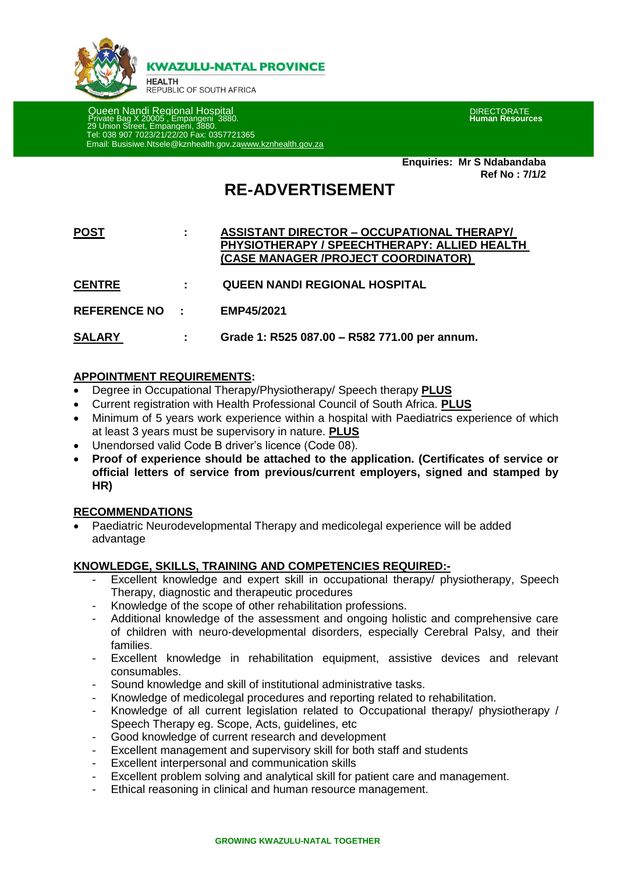

**KWAZULU-NATAL PROVINCE** 

**HEALTH** REPUBLIC OF SOUTH AFRICA

 Queen Nandi Regional Hospital DIRECTORATE Private Bag X 20005 , Empangeni 3880. **Human Resources** 29 Union Street, Empangeni, 3880. Tel: 038 907 7023/21/22/20 Fax: 0357721365 Email: Busisiwe.Ntsele@kznhealth.gov.z[awww.kznhealth.gov.za](http://www.kznhealth.gov.za/)

**Enquiries: Mr S Ndabandaba Ref No : 7/1/2**

# **RE-ADVERTISEMENT**

| <b>POST</b> | <b>ASSISTANT DIRECTOR - OCCUPATIONAL THERAPY/</b>   |
|-------------|-----------------------------------------------------|
|             | <b>PHYSIOTHERAPY / SPEECHTHERAPY: ALLIED HEALTH</b> |
|             | (CASE MANAGER /PROJECT COORDINATOR)                 |

- **CENTRE : QUEEN NANDI REGIONAL HOSPITAL**
- **REFERENCE NO : EMP45/2021**

**SALARY : Grade 1: R525 087.00 – R582 771.00 per annum.**

## **APPOINTMENT REQUIREMENTS:**

- Degree in Occupational Therapy/Physiotherapy/ Speech therapy **PLUS**
- Current registration with Health Professional Council of South Africa. **PLUS**
- Minimum of 5 years work experience within a hospital with Paediatrics experience of which at least 3 years must be supervisory in nature. **PLUS**
- Unendorsed valid Code B driver's licence (Code 08).
- **Proof of experience should be attached to the application. (Certificates of service or official letters of service from previous/current employers, signed and stamped by HR)**

## **RECOMMENDATIONS**

 Paediatric Neurodevelopmental Therapy and medicolegal experience will be added advantage

## **KNOWLEDGE, SKILLS, TRAINING AND COMPETENCIES REQUIRED:-**

- Excellent knowledge and expert skill in occupational therapy/ physiotherapy, Speech Therapy, diagnostic and therapeutic procedures
- Knowledge of the scope of other rehabilitation professions.
- Additional knowledge of the assessment and ongoing holistic and comprehensive care of children with neuro-developmental disorders, especially Cerebral Palsy, and their families.
- Excellent knowledge in rehabilitation equipment, assistive devices and relevant consumables.
- Sound knowledge and skill of institutional administrative tasks.
- Knowledge of medicolegal procedures and reporting related to rehabilitation.
- Knowledge of all current legislation related to Occupational therapy/ physiotherapy / Speech Therapy eg. Scope, Acts, guidelines, etc
- Good knowledge of current research and development
- Excellent management and supervisory skill for both staff and students
- Excellent interpersonal and communication skills
- Excellent problem solving and analytical skill for patient care and management.
- Ethical reasoning in clinical and human resource management.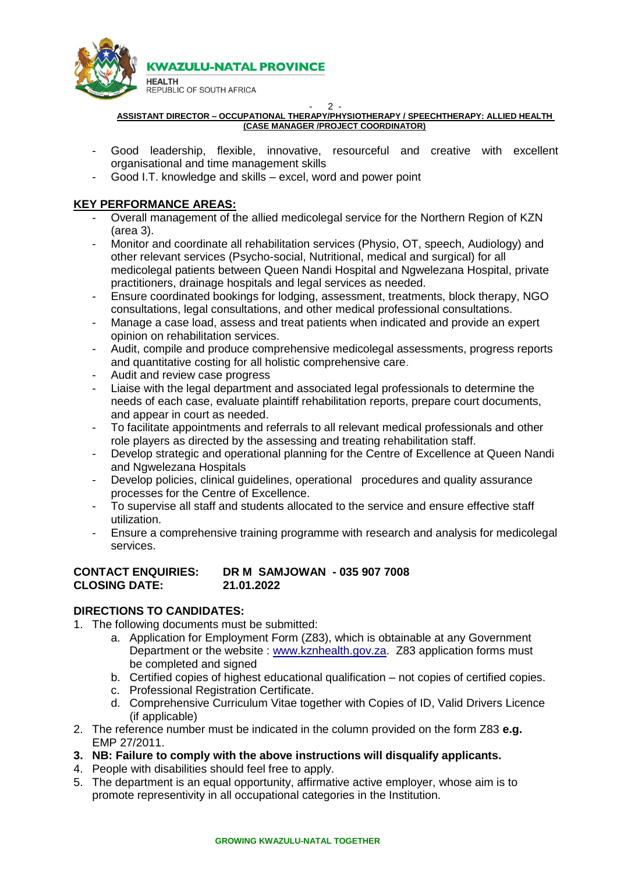

#### - 2 - **ASSISTANT DIRECTOR – OCCUPATIONAL THERAPY/PHYSIOTHERAPY / SPEECHTHERAPY: ALLIED HEALTH (CASE MANAGER /PROJECT COORDINATOR)**

- Good leadership, flexible, innovative, resourceful and creative with excellent organisational and time management skills
- Good I.T. knowledge and skills excel, word and power point

## **KEY PERFORMANCE AREAS:**

- Overall management of the allied medicolegal service for the Northern Region of KZN (area 3).
- Monitor and coordinate all rehabilitation services (Physio, OT, speech, Audiology) and other relevant services (Psycho-social, Nutritional, medical and surgical) for all medicolegal patients between Queen Nandi Hospital and Ngwelezana Hospital, private practitioners, drainage hospitals and legal services as needed.
- Ensure coordinated bookings for lodging, assessment, treatments, block therapy, NGO consultations, legal consultations, and other medical professional consultations.
- Manage a case load, assess and treat patients when indicated and provide an expert opinion on rehabilitation services.
- Audit, compile and produce comprehensive medicolegal assessments, progress reports and quantitative costing for all holistic comprehensive care.
- Audit and review case progress
- Liaise with the legal department and associated legal professionals to determine the needs of each case, evaluate plaintiff rehabilitation reports, prepare court documents, and appear in court as needed.
- To facilitate appointments and referrals to all relevant medical professionals and other role players as directed by the assessing and treating rehabilitation staff.
- Develop strategic and operational planning for the Centre of Excellence at Queen Nandi and Ngwelezana Hospitals
- Develop policies, clinical guidelines, operational procedures and quality assurance processes for the Centre of Excellence.
- To supervise all staff and students allocated to the service and ensure effective staff utilization.
- Ensure a comprehensive training programme with research and analysis for medicolegal services.

## **CONTACT ENQUIRIES: DR M SAMJOWAN - 035 907 7008 CLOSING DATE: 21.01.2022**

# **DIRECTIONS TO CANDIDATES:**

- 1. The following documents must be submitted:
	- a. Application for Employment Form (Z83), which is obtainable at any Government Department or the website : [www.kznhealth.gov.za.](http://www.kznhealth.gov.za/) Z83 application forms must be completed and signed
	- b. Certified copies of highest educational qualification not copies of certified copies.
	- c. Professional Registration Certificate.
	- d. Comprehensive Curriculum Vitae together with Copies of ID, Valid Drivers Licence (if applicable)
- 2. The reference number must be indicated in the column provided on the form Z83 **e.g.** EMP 27/2011.
- **3. NB: Failure to comply with the above instructions will disqualify applicants.**
- 4. People with disabilities should feel free to apply.
- 5. The department is an equal opportunity, affirmative active employer, whose aim is to promote representivity in all occupational categories in the Institution.